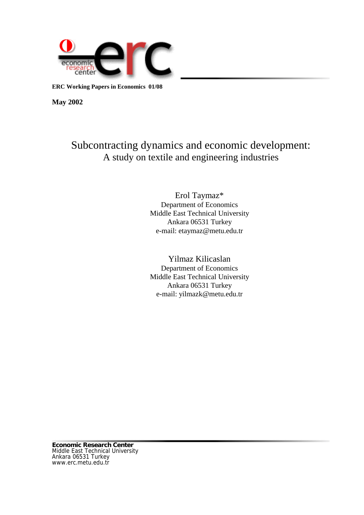

**ERC Working Papers in Economics 01/08**

**May 2002**

# Subcontracting dynamics and economic development: A study on textile and engineering industries

Erol Taymaz\* Department of Economics Middle East Technical University Ankara 06531 Turkey e-mail: etaymaz@metu.edu.tr

# Yilmaz Kilicaslan Department of Economics Middle East Technical University Ankara 06531 Turkey e-mail: yilmazk@metu.edu.tr

**Economic Research Center** Middle East Technical University Ankara 06531 Turkey www.erc.metu.edu.tr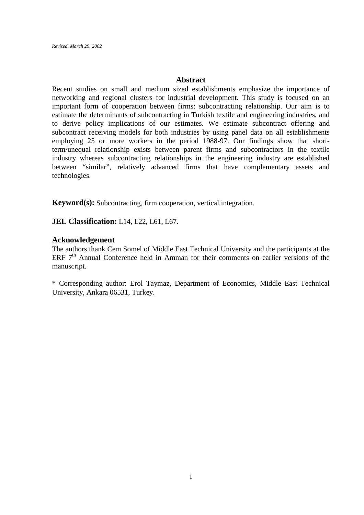# **Abstract**

Recent studies on small and medium sized establishments emphasize the importance of networking and regional clusters for industrial development. This study is focused on an important form of cooperation between firms: subcontracting relationship. Our aim is to estimate the determinants of subcontracting in Turkish textile and engineering industries, and to derive policy implications of our estimates. We estimate subcontract offering and subcontract receiving models for both industries by using panel data on all establishments employing 25 or more workers in the period 1988-97. Our findings show that shortterm/unequal relationship exists between parent firms and subcontractors in the textile industry whereas subcontracting relationships in the engineering industry are established between "similar", relatively advanced firms that have complementary assets and technologies.

**Keyword(s):** Subcontracting, firm cooperation, vertical integration.

**JEL Classification:** L14, L22, L61, L67.

# **Acknowledgement**

The authors thank Cem Somel of Middle East Technical University and the participants at the ERF  $7<sup>th</sup>$  Annual Conference held in Amman for their comments on earlier versions of the manuscript.

\* Corresponding author: Erol Taymaz, Department of Economics, Middle East Technical University, Ankara 06531, Turkey.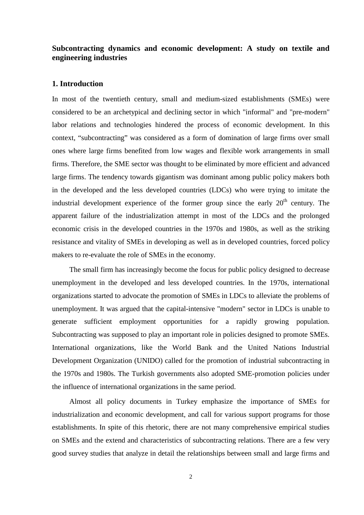# **Subcontracting dynamics and economic development: A study on textile and engineering industries**

## **1. Introduction**

In most of the twentieth century, small and medium-sized establishments (SMEs) were considered to be an archetypical and declining sector in which "informal" and "pre-modern" labor relations and technologies hindered the process of economic development. In this context, "subcontracting" was considered as a form of domination of large firms over small ones where large firms benefited from low wages and flexible work arrangements in small firms. Therefore, the SME sector was thought to be eliminated by more efficient and advanced large firms. The tendency towards gigantism was dominant among public policy makers both in the developed and the less developed countries (LDCs) who were trying to imitate the industrial development experience of the former group since the early  $20<sup>th</sup>$  century. The apparent failure of the industrialization attempt in most of the LDCs and the prolonged economic crisis in the developed countries in the 1970s and 1980s, as well as the striking resistance and vitality of SMEs in developing as well as in developed countries, forced policy makers to re-evaluate the role of SMEs in the economy.

The small firm has increasingly become the focus for public policy designed to decrease unemployment in the developed and less developed countries. In the 1970s, international organizations started to advocate the promotion of SMEs in LDCs to alleviate the problems of unemployment. It was argued that the capital-intensive "modern" sector in LDCs is unable to generate sufficient employment opportunities for a rapidly growing population. Subcontracting was supposed to play an important role in policies designed to promote SMEs. International organizations, like the World Bank and the United Nations Industrial Development Organization (UNIDO) called for the promotion of industrial subcontracting in the 1970s and 1980s. The Turkish governments also adopted SME-promotion policies under the influence of international organizations in the same period.

Almost all policy documents in Turkey emphasize the importance of SMEs for industrialization and economic development, and call for various support programs for those establishments. In spite of this rhetoric, there are not many comprehensive empirical studies on SMEs and the extend and characteristics of subcontracting relations. There are a few very good survey studies that analyze in detail the relationships between small and large firms and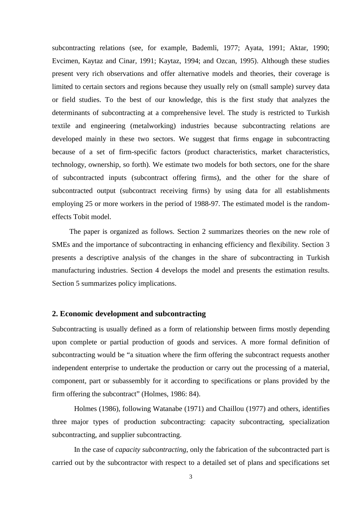subcontracting relations (see, for example, Bademli, 1977; Ayata, 1991; Aktar, 1990; Evcimen, Kaytaz and Cinar, 1991; Kaytaz, 1994; and Ozcan, 1995). Although these studies present very rich observations and offer alternative models and theories, their coverage is limited to certain sectors and regions because they usually rely on (small sample) survey data or field studies. To the best of our knowledge, this is the first study that analyzes the determinants of subcontracting at a comprehensive level. The study is restricted to Turkish textile and engineering (metalworking) industries because subcontracting relations are developed mainly in these two sectors. We suggest that firms engage in subcontracting because of a set of firm-specific factors (product characteristics, market characteristics, technology, ownership, so forth). We estimate two models for both sectors, one for the share of subcontracted inputs (subcontract offering firms), and the other for the share of subcontracted output (subcontract receiving firms) by using data for all establishments employing 25 or more workers in the period of 1988-97. The estimated model is the randomeffects Tobit model.

The paper is organized as follows. Section 2 summarizes theories on the new role of SMEs and the importance of subcontracting in enhancing efficiency and flexibility. Section 3 presents a descriptive analysis of the changes in the share of subcontracting in Turkish manufacturing industries. Section 4 develops the model and presents the estimation results. Section 5 summarizes policy implications.

#### **2. Economic development and subcontracting**

Subcontracting is usually defined as a form of relationship between firms mostly depending upon complete or partial production of goods and services. A more formal definition of subcontracting would be "a situation where the firm offering the subcontract requests another independent enterprise to undertake the production or carry out the processing of a material, component, part or subassembly for it according to specifications or plans provided by the firm offering the subcontract" (Holmes, 1986: 84).

Holmes (1986), following Watanabe (1971) and Chaillou (1977) and others, identifies three major types of production subcontracting: capacity subcontracting, specialization subcontracting, and supplier subcontracting.

In the case of *capacity subcontracting*, only the fabrication of the subcontracted part is carried out by the subcontractor with respect to a detailed set of plans and specifications set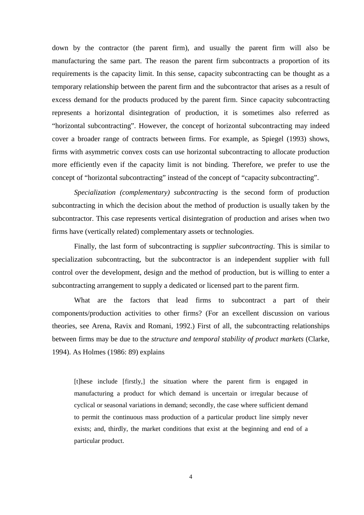down by the contractor (the parent firm), and usually the parent firm will also be manufacturing the same part. The reason the parent firm subcontracts a proportion of its requirements is the capacity limit. In this sense, capacity subcontracting can be thought as a temporary relationship between the parent firm and the subcontractor that arises as a result of excess demand for the products produced by the parent firm. Since capacity subcontracting represents a horizontal disintegration of production, it is sometimes also referred as "horizontal subcontracting". However, the concept of horizontal subcontracting may indeed cover a broader range of contracts between firms. For example, as Spiegel (1993) shows, firms with asymmetric convex costs can use horizontal subcontracting to allocate production more efficiently even if the capacity limit is not binding. Therefore, we prefer to use the concept of "horizontal subcontracting" instead of the concept of "capacity subcontracting".

*Specialization (complementary) subcontracting* is the second form of production subcontracting in which the decision about the method of production is usually taken by the subcontractor. This case represents vertical disintegration of production and arises when two firms have (vertically related) complementary assets or technologies.

Finally, the last form of subcontracting is *supplier subcontracting*. This is similar to specialization subcontracting, but the subcontractor is an independent supplier with full control over the development, design and the method of production, but is willing to enter a subcontracting arrangement to supply a dedicated or licensed part to the parent firm.

What are the factors that lead firms to subcontract a part of their components/production activities to other firms? (For an excellent discussion on various theories, see Arena, Ravix and Romani, 1992.) First of all, the subcontracting relationships between firms may be due to the *structure and temporal stability of product markets* (Clarke, 1994). As Holmes (1986: 89) explains

[t]hese include [firstly,] the situation where the parent firm is engaged in manufacturing a product for which demand is uncertain or irregular because of cyclical or seasonal variations in demand; secondly, the case where sufficient demand to permit the continuous mass production of a particular product line simply never exists; and, thirdly, the market conditions that exist at the beginning and end of a particular product.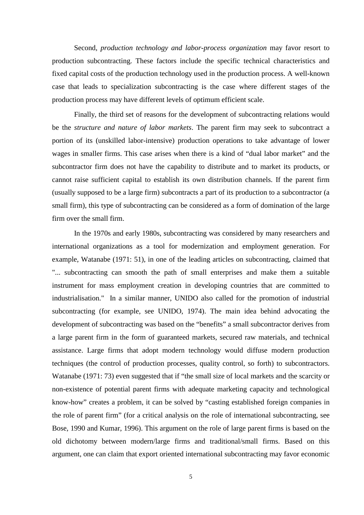Second, *production technology and labor-process organization* may favor resort to production subcontracting. These factors include the specific technical characteristics and fixed capital costs of the production technology used in the production process. A well-known case that leads to specialization subcontracting is the case where different stages of the production process may have different levels of optimum efficient scale.

Finally, the third set of reasons for the development of subcontracting relations would be the *structure and nature of labor markets*. The parent firm may seek to subcontract a portion of its (unskilled labor-intensive) production operations to take advantage of lower wages in smaller firms. This case arises when there is a kind of "dual labor market" and the subcontractor firm does not have the capability to distribute and to market its products, or cannot raise sufficient capital to establish its own distribution channels. If the parent firm (usually supposed to be a large firm) subcontracts a part of its production to a subcontractor (a small firm), this type of subcontracting can be considered as a form of domination of the large firm over the small firm.

In the 1970s and early 1980s, subcontracting was considered by many researchers and international organizations as a tool for modernization and employment generation. For example, Watanabe (1971: 51), in one of the leading articles on subcontracting, claimed that "... subcontracting can smooth the path of small enterprises and make them a suitable instrument for mass employment creation in developing countries that are committed to industrialisation." In a similar manner, UNIDO also called for the promotion of industrial subcontracting (for example, see UNIDO, 1974). The main idea behind advocating the development of subcontracting was based on the "benefits" a small subcontractor derives from a large parent firm in the form of guaranteed markets, secured raw materials, and technical assistance. Large firms that adopt modern technology would diffuse modern production techniques (the control of production processes, quality control, so forth) to subcontractors. Watanabe (1971: 73) even suggested that if "the small size of local markets and the scarcity or non-existence of potential parent firms with adequate marketing capacity and technological know-how" creates a problem, it can be solved by "casting established foreign companies in the role of parent firm" (for a critical analysis on the role of international subcontracting, see Bose, 1990 and Kumar, 1996). This argument on the role of large parent firms is based on the old dichotomy between modern/large firms and traditional/small firms. Based on this argument, one can claim that export oriented international subcontracting may favor economic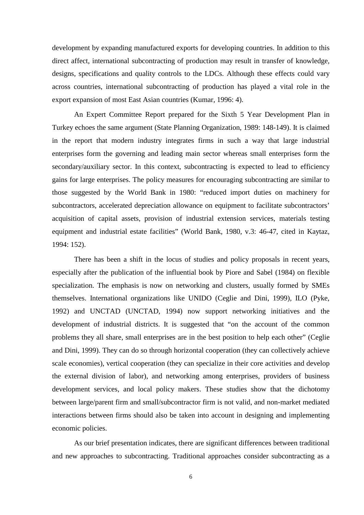development by expanding manufactured exports for developing countries. In addition to this direct affect, international subcontracting of production may result in transfer of knowledge, designs, specifications and quality controls to the LDCs. Although these effects could vary across countries, international subcontracting of production has played a vital role in the export expansion of most East Asian countries (Kumar, 1996: 4).

An Expert Committee Report prepared for the Sixth 5 Year Development Plan in Turkey echoes the same argument (State Planning Organization, 1989: 148-149). It is claimed in the report that modern industry integrates firms in such a way that large industrial enterprises form the governing and leading main sector whereas small enterprises form the secondary/auxiliary sector. In this context, subcontracting is expected to lead to efficiency gains for large enterprises. The policy measures for encouraging subcontracting are similar to those suggested by the World Bank in 1980: "reduced import duties on machinery for subcontractors, accelerated depreciation allowance on equipment to facilitate subcontractors' acquisition of capital assets, provision of industrial extension services, materials testing equipment and industrial estate facilities" (World Bank, 1980, v.3: 46-47, cited in Kaytaz, 1994: 152).

There has been a shift in the locus of studies and policy proposals in recent years, especially after the publication of the influential book by Piore and Sabel (1984) on flexible specialization. The emphasis is now on networking and clusters, usually formed by SMEs themselves. International organizations like UNIDO (Ceglie and Dini, 1999), ILO (Pyke, 1992) and UNCTAD (UNCTAD, 1994) now support networking initiatives and the development of industrial districts. It is suggested that "on the account of the common problems they all share, small enterprises are in the best position to help each other" (Ceglie and Dini, 1999). They can do so through horizontal cooperation (they can collectively achieve scale economies), vertical cooperation (they can specialize in their core activities and develop the external division of labor), and networking among enterprises, providers of business development services, and local policy makers. These studies show that the dichotomy between large/parent firm and small/subcontractor firm is not valid, and non-market mediated interactions between firms should also be taken into account in designing and implementing economic policies.

As our brief presentation indicates, there are significant differences between traditional and new approaches to subcontracting. Traditional approaches consider subcontracting as a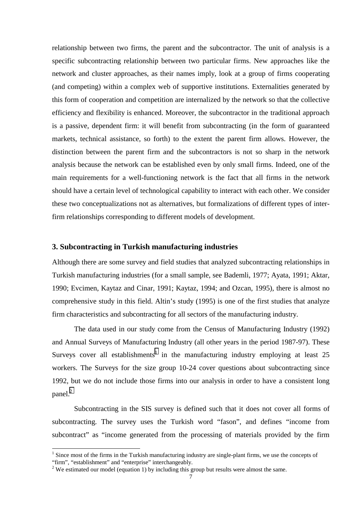relationship between two firms, the parent and the subcontractor. The unit of analysis is a specific subcontracting relationship between two particular firms. New approaches like the network and cluster approaches, as their names imply, look at a group of firms cooperating (and competing) within a complex web of supportive institutions. Externalities generated by this form of cooperation and competition are internalized by the network so that the collective efficiency and flexibility is enhanced. Moreover, the subcontractor in the traditional approach is a passive, dependent firm: it will benefit from subcontracting (in the form of guaranteed markets, technical assistance, so forth) to the extent the parent firm allows. However, the distinction between the parent firm and the subcontractors is not so sharp in the network analysis because the network can be established even by only small firms. Indeed, one of the main requirements for a well-functioning network is the fact that all firms in the network should have a certain level of technological capability to interact with each other. We consider these two conceptualizations not as alternatives, but formalizations of different types of interfirm relationships corresponding to different models of development.

#### **3. Subcontracting in Turkish manufacturing industries**

Although there are some survey and field studies that analyzed subcontracting relationships in Turkish manufacturing industries (for a small sample, see Bademli, 1977; Ayata, 1991; Aktar, 1990; Evcimen, Kaytaz and Cinar, 1991; Kaytaz, 1994; and Ozcan, 1995), there is almost no comprehensive study in this field. Altin's study (1995) is one of the first studies that analyze firm characteristics and subcontracting for all sectors of the manufacturing industry.

The data used in our study come from the Census of Manufacturing Industry (1992) and Annual Surveys of Manufacturing Industry (all other years in the period 1987-97). These Surveys cover all establishments<sup>1</sup> in the manufacturing industry employing at least 25 workers. The Surveys for the size group 10-24 cover questions about subcontracting since 1992, but we do not include those firms into our analysis in order to have a consistent long panel. $^{2}$ 

Subcontracting in the SIS survey is defined such that it does not cover all forms of subcontracting. The survey uses the Turkish word "fason", and defines "income from subcontract" as "income generated from the processing of materials provided by the firm

<sup>&</sup>lt;sup>1</sup> Since most of the firms in the Turkish manufacturing industry are single-plant firms, we use the concepts of "firm", "establishment" and "enterprise" interchangeably.

 $2$  We estimated our model (equation 1) by including this group but results were almost the same.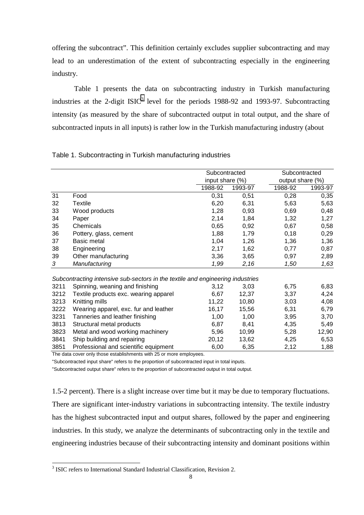offering the subcontract". This definition certainly excludes supplier subcontracting and may lead to an underestimation of the extent of subcontracting especially in the engineering industry.

Table 1 presents the data on subcontracting industry in Turkish manufacturing industries at the 2-digit ISIC<sup>3</sup> level for the periods 1988-92 and 1993-97. Subcontracting intensity (as measured by the share of subcontracted output in total output, and the share of subcontracted inputs in all inputs) is rather low in the Turkish manufacturing industry (about

|      |                                                                                | Subcontracted   |         |                  | Subcontracted |  |  |
|------|--------------------------------------------------------------------------------|-----------------|---------|------------------|---------------|--|--|
|      |                                                                                | input share (%) |         | output share (%) |               |  |  |
|      |                                                                                | 1988-92         | 1993-97 | 1988-92          | 1993-97       |  |  |
| 31   | Food                                                                           | 0,31            | 0,51    | 0,28             | 0,35          |  |  |
| 32   | <b>Textile</b>                                                                 | 6,20            | 6,31    | 5,63             | 5,63          |  |  |
| 33   | Wood products                                                                  | 1,28            | 0,93    | 0,69             | 0,48          |  |  |
| 34   | Paper                                                                          | 2,14            | 1,84    | 1,32             | 1,27          |  |  |
| 35   | Chemicals                                                                      | 0,65            | 0,92    | 0,67             | 0,58          |  |  |
| 36   | Pottery, glass, cement                                                         | 1,88            | 1,79    | 0,18             | 0,29          |  |  |
| 37   | Basic metal                                                                    | 1,04            | 1,26    | 1,36             | 1,36          |  |  |
| 38   | Engineering                                                                    | 2,17            | 1,62    | 0,77             | 0,87          |  |  |
| 39   | Other manufacturing                                                            | 3,36            | 3,65    | 0,97             | 2,89          |  |  |
| 3    | Manufacturing                                                                  | 1,99            | 2,16    | 1,50             | 1,63          |  |  |
|      | Subcontracting intensive sub-sectors in the textile and engineering industries |                 |         |                  |               |  |  |
| 3211 | Spinning, weaning and finishing                                                | 3,12            | 3,03    | 6,75             | 6,83          |  |  |
| 3212 | Textile products exc. wearing apparel                                          | 6,67            | 12,37   | 3,37             | 4,24          |  |  |
| 3213 | Knitting mills                                                                 | 11,22           | 10,80   | 3,03             | 4,08          |  |  |
| 3222 | Wearing apparel, exc. fur and leather                                          | 16,17           | 15,56   | 6,31             | 6,79          |  |  |
| 3231 | Tanneries and leather finishing                                                | 1,00            | 1,00    | 3,95             | 3,70          |  |  |
| 3813 | Structural metal products                                                      | 6,87            | 8,41    | 4,35             | 5,49          |  |  |
| 3823 | Metal and wood working machinery                                               | 5,96            | 10,99   | 5,28             | 12,90         |  |  |
| 3841 | Ship building and repairing                                                    | 20,12           | 13,62   | 4,25             | 6,53          |  |  |
| 3851 | Professional and scientific equipment                                          | 6,00            | 6,35    | 2,12             | 1,88          |  |  |

#### Table 1. Subcontracting in Turkish manufacturing industries

The data cover only those establishments with 25 or more employees.

"Subcontracted input share" refers to the proportion of subcontracted input in total inputs.

"Subcontracted output share" refers to the proportion of subcontracted output in total output.

1.5-2 percent). There is a slight increase over time but it may be due to temporary fluctuations. There are significant inter-industry variations in subcontracting intensity. The textile industry has the highest subcontracted input and output shares, followed by the paper and engineering industries. In this study, we analyze the determinants of subcontracting only in the textile and engineering industries because of their subcontracting intensity and dominant positions within

<sup>&</sup>lt;sup>3</sup> ISIC refers to International Standard Industrial Classification, Revision 2.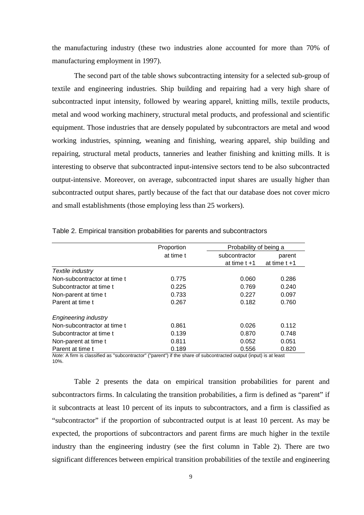the manufacturing industry (these two industries alone accounted for more than 70% of manufacturing employment in 1997).

The second part of the table shows subcontracting intensity for a selected sub-group of textile and engineering industries. Ship building and repairing had a very high share of subcontracted input intensity, followed by wearing apparel, knitting mills, textile products, metal and wood working machinery, structural metal products, and professional and scientific equipment. Those industries that are densely populated by subcontractors are metal and wood working industries, spinning, weaning and finishing, wearing apparel, ship building and repairing, structural metal products, tanneries and leather finishing and knitting mills. It is interesting to observe that subcontracted input-intensive sectors tend to be also subcontracted output-intensive. Moreover, on average, subcontracted input shares are usually higher than subcontracted output shares, partly because of the fact that our database does not cover micro and small establishments (those employing less than 25 workers).

|                              | Proportion | Probability of being a |                 |
|------------------------------|------------|------------------------|-----------------|
|                              | at time t  | subcontractor          | parent          |
|                              |            | at time $t + 1$        | at time $t + 1$ |
| Textile industry             |            |                        |                 |
| Non-subcontractor at time t  | 0.775      | 0.060                  | 0.286           |
| Subcontractor at time t      | 0.225      | 0.769                  | 0.240           |
| Non-parent at time t         | 0.733      | 0.227                  | 0.097           |
| Parent at time t             | 0.267      | 0.182                  | 0.760           |
| <b>Engineering industry</b>  |            |                        |                 |
| Non-subcontractor at time to | 0.861      | 0.026                  | 0.112           |
| Subcontractor at time t      | 0.139      | 0.870                  | 0.748           |
| Non-parent at time t         | 0.811      | 0.052                  | 0.051           |
| Parent at time t             | 0.189      | 0.556                  | 0.820           |

Table 2. Empirical transition probabilities for parents and subcontractors

*Note:* A firm is classified as "subcontractor" ("parent") if the share of subcontracted output (input) is at least 10%.

Table 2 presents the data on empirical transition probabilities for parent and subcontractors firms. In calculating the transition probabilities, a firm is defined as "parent" if it subcontracts at least 10 percent of its inputs to subcontractors, and a firm is classified as "subcontractor" if the proportion of subcontracted output is at least 10 percent. As may be expected, the proportions of subcontractors and parent firms are much higher in the textile industry than the engineering industry (see the first column in Table 2). There are two significant differences between empirical transition probabilities of the textile and engineering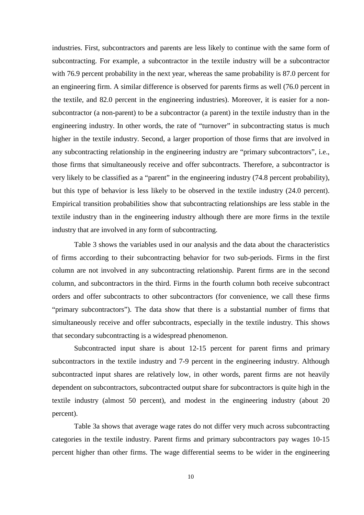industries. First, subcontractors and parents are less likely to continue with the same form of subcontracting. For example, a subcontractor in the textile industry will be a subcontractor with 76.9 percent probability in the next year, whereas the same probability is 87.0 percent for an engineering firm. A similar difference is observed for parents firms as well (76.0 percent in the textile, and 82.0 percent in the engineering industries). Moreover, it is easier for a nonsubcontractor (a non-parent) to be a subcontractor (a parent) in the textile industry than in the engineering industry. In other words, the rate of "turnover" in subcontracting status is much higher in the textile industry. Second, a larger proportion of those firms that are involved in any subcontracting relationship in the engineering industry are "primary subcontractors", i.e., those firms that simultaneously receive and offer subcontracts. Therefore, a subcontractor is very likely to be classified as a "parent" in the engineering industry (74.8 percent probability), but this type of behavior is less likely to be observed in the textile industry (24.0 percent). Empirical transition probabilities show that subcontracting relationships are less stable in the textile industry than in the engineering industry although there are more firms in the textile industry that are involved in any form of subcontracting.

Table 3 shows the variables used in our analysis and the data about the characteristics of firms according to their subcontracting behavior for two sub-periods. Firms in the first column are not involved in any subcontracting relationship. Parent firms are in the second column, and subcontractors in the third. Firms in the fourth column both receive subcontract orders and offer subcontracts to other subcontractors (for convenience, we call these firms "primary subcontractors"). The data show that there is a substantial number of firms that simultaneously receive and offer subcontracts, especially in the textile industry. This shows that secondary subcontracting is a widespread phenomenon.

Subcontracted input share is about 12-15 percent for parent firms and primary subcontractors in the textile industry and 7-9 percent in the engineering industry. Although subcontracted input shares are relatively low, in other words, parent firms are not heavily dependent on subcontractors, subcontracted output share for subcontractors is quite high in the textile industry (almost 50 percent), and modest in the engineering industry (about 20 percent).

Table 3a shows that average wage rates do not differ very much across subcontracting categories in the textile industry. Parent firms and primary subcontractors pay wages 10-15 percent higher than other firms. The wage differential seems to be wider in the engineering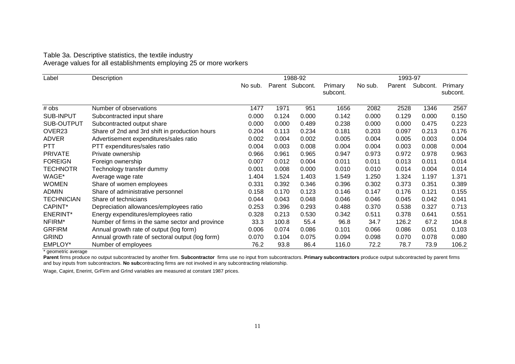# Table 3a. Descriptive statistics, the textile industry Average values for all establishments employing 25 or more workers

| Label              | Description                                      |         |       | 1988-92         |                     | 1993-97 |        |          |                     |
|--------------------|--------------------------------------------------|---------|-------|-----------------|---------------------|---------|--------|----------|---------------------|
|                    |                                                  | No sub. |       | Parent Subcont. | Primary<br>subcont. | No sub. | Parent | Subcont. | Primary<br>subcont. |
| # obs              | Number of observations                           | 1477    | 1971  | 951             | 1656                | 2082    | 2528   | 1346     | 2567                |
| SUB-INPUT          | Subcontracted input share                        | 0.000   | 0.124 | 0.000           | 0.142               | 0.000   | 0.129  | 0.000    | 0.150               |
| SUB-OUTPUT         | Subcontracted output share                       | 0.000   | 0.000 | 0.489           | 0.238               | 0.000   | 0.000  | 0.475    | 0.223               |
| OVER <sub>23</sub> | Share of 2nd and 3rd shift in production hours   | 0.204   | 0.113 | 0.234           | 0.181               | 0.203   | 0.097  | 0.213    | 0.176               |
| <b>ADVER</b>       | Advertisement expenditures/sales ratio           | 0.002   | 0.004 | 0.002           | 0.005               | 0.004   | 0.005  | 0.003    | 0.004               |
| <b>PTT</b>         | PTT expenditures/sales ratio                     | 0.004   | 0.003 | 0.008           | 0.004               | 0.004   | 0.003  | 0.008    | 0.004               |
| <b>PRIVATE</b>     | Private ownership                                | 0.966   | 0.961 | 0.965           | 0.947               | 0.973   | 0.972  | 0.978    | 0.963               |
| <b>FOREIGN</b>     | Foreign ownership                                | 0.007   | 0.012 | 0.004           | 0.011               | 0.011   | 0.013  | 0.011    | 0.014               |
| <b>TECHNOTR</b>    | Technology transfer dummy                        | 0.001   | 0.008 | 0.000           | 0.010               | 0.010   | 0.014  | 0.004    | 0.014               |
| WAGE*              | Average wage rate                                | 1.404   | 1.524 | 1.403           | 1.549               | 1.250   | 1.324  | 1.197    | 1.371               |
| <b>WOMEN</b>       | Share of women employees                         | 0.331   | 0.392 | 0.346           | 0.396               | 0.302   | 0.373  | 0.351    | 0.389               |
| <b>ADMIN</b>       | Share of administrative personnel                | 0.158   | 0.170 | 0.123           | 0.146               | 0.147   | 0.176  | 0.121    | 0.155               |
| <b>TECHNICIAN</b>  | Share of technicians                             | 0.044   | 0.043 | 0.048           | 0.046               | 0.046   | 0.045  | 0.042    | 0.041               |
| CAPINT*            | Depreciation allowances/employees ratio          | 0.253   | 0.396 | 0.293           | 0.488               | 0.370   | 0.538  | 0.327    | 0.713               |
| <b>ENERINT*</b>    | Energy expenditures/employees ratio              | 0.328   | 0.213 | 0.530           | 0.342               | 0.511   | 0.378  | 0.641    | 0.551               |
| NFIRM*             | Number of firms in the same sector and province  | 33.3    | 100.8 | 55.4            | 96.8                | 34.7    | 126.2  | 67.2     | 104.8               |
| <b>GRFIRM</b>      | Annual growth rate of output (log form)          | 0.006   | 0.074 | 0.086           | 0.101               | 0.066   | 0.086  | 0.051    | 0.103               |
| <b>GRIND</b>       | Annual growth rate of sectoral output (log form) | 0.070   | 0.104 | 0.075           | 0.094               | 0.098   | 0.070  | 0.078    | 0.080               |
| EMPLOY*            | Number of employees                              | 76.2    | 93.8  | 86.4            | 116.0               | 72.2    | 78.7   | 73.9     | 106.2               |

\* geometric average

Parent firms produce no output subcontracted by another firm. Subcontractor firms use no input from subcontractors. Primary subcontractors produce output subcontracted by parent firms and buy inputs from subcontractors. **No sub**contracting firms are not involved in any subcontracting relationship.

Wage, Capint, Enerint, GrFirm and GrInd variables are measured at constant 1987 prices.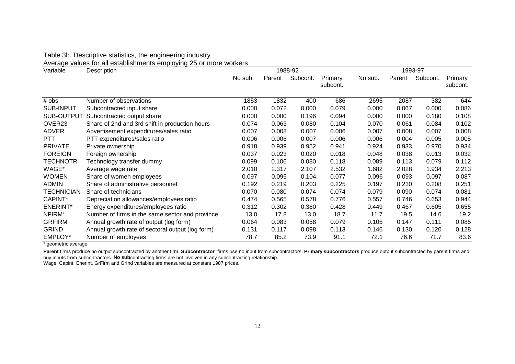#### Table 3b. Descriptive statistics, the engineering industry

Average values for all establishments employing 25 or more workers

| Variable          | et the community of the complete form of the complete state of the complete state of the complete state of the<br>1988-92<br>Description |         |        |          |                     |         | 1993-97 |          |                     |  |  |  |
|-------------------|------------------------------------------------------------------------------------------------------------------------------------------|---------|--------|----------|---------------------|---------|---------|----------|---------------------|--|--|--|
|                   |                                                                                                                                          | No sub. | Parent | Subcont. | Primary<br>subcont. | No sub. | Parent  | Subcont. | Primary<br>subcont. |  |  |  |
| # obs             | Number of observations                                                                                                                   | 1853    | 1832   | 400      | 686                 | 2695    | 2087    | 382      | 644                 |  |  |  |
| <b>SUB-INPUT</b>  | Subcontracted input share                                                                                                                | 0.000   | 0.072  | 0.000    | 0.079               | 0.000   | 0.067   | 0.000    | 0.086               |  |  |  |
| SUB-OUTPUT        | Subcontracted output share                                                                                                               | 0.000   | 0.000  | 0.196    | 0.094               | 0.000   | 0.000   | 0.180    | 0.108               |  |  |  |
| OVER23            | Share of 2nd and 3rd shift in production hours                                                                                           | 0.074   | 0.063  | 0.080    | 0.104               | 0.070   | 0.061   | 0.084    | 0.102               |  |  |  |
| <b>ADVER</b>      | Advertisement expenditures/sales ratio                                                                                                   | 0.007   | 0.008  | 0.007    | 0.006               | 0.007   | 0.008   | 0.007    | 0.008               |  |  |  |
| <b>PTT</b>        | PTT expenditures/sales ratio                                                                                                             | 0.006   | 0.006  | 0.007    | 0.006               | 0.006   | 0.004   | 0.005    | 0.005               |  |  |  |
| <b>PRIVATE</b>    | Private ownership                                                                                                                        | 0.918   | 0.939  | 0.952    | 0.941               | 0.924   | 0.933   | 0.970    | 0.934               |  |  |  |
| <b>FOREIGN</b>    | Foreign ownership                                                                                                                        | 0.037   | 0.023  | 0.020    | 0.018               | 0.048   | 0.038   | 0.013    | 0.032               |  |  |  |
| <b>TECHNOTR</b>   | Technology transfer dummy                                                                                                                | 0.099   | 0.106  | 0.080    | 0.118               | 0.089   | 0.113   | 0.079    | 0.112               |  |  |  |
| WAGE*             | Average wage rate                                                                                                                        | 2.010   | 2.317  | 2.107    | 2.532               | 1.682   | 2.028   | 1.934    | 2.213               |  |  |  |
| <b>WOMEN</b>      | Share of women employees                                                                                                                 | 0.097   | 0.095  | 0.104    | 0.077               | 0.096   | 0.093   | 0.097    | 0.087               |  |  |  |
| <b>ADMIN</b>      | Share of administrative personnel                                                                                                        | 0.192   | 0.219  | 0.203    | 0.225               | 0.197   | 0.230   | 0.208    | 0.251               |  |  |  |
| <b>TECHNICIAN</b> | Share of technicians                                                                                                                     | 0.070   | 0.080  | 0.074    | 0.074               | 0.079   | 0.090   | 0.074    | 0.081               |  |  |  |
| CAPINT*           | Depreciation allowances/employees ratio                                                                                                  | 0.474   | 0.565  | 0.578    | 0.776               | 0.557   | 0.746   | 0.653    | 0.944               |  |  |  |
| ENERINT*          | Energy expenditures/employees ratio                                                                                                      | 0.312   | 0.302  | 0.380    | 0.428               | 0.449   | 0.467   | 0.605    | 0.655               |  |  |  |
| NFIRM*            | Number of firms in the same sector and province                                                                                          | 13.0    | 17.8   | 13.0     | 18.7                | 11.7    | 19.5    | 14.6     | 19.2                |  |  |  |
| <b>GRFIRM</b>     | Annual growth rate of output (log form)                                                                                                  | 0.064   | 0.083  | 0.058    | 0.079               | 0.105   | 0.147   | 0.111    | 0.085               |  |  |  |
| <b>GRIND</b>      | Annual growth rate of sectoral output (log form)                                                                                         | 0.131   | 0.117  | 0.098    | 0.113               | 0.146   | 0.130   | 0.120    | 0.128               |  |  |  |
| EMPLOY*           | Number of employees                                                                                                                      | 78.7    | 85.2   | 73.9     | 91.1                | 72.1    | 76.6    | 71.7     | 83.6                |  |  |  |

\* geometric average

**Parent** firms produce no output subcontracted by another firm. **Subcontractor** firms use no input from subcontractors. **Primary subcontractors** produce output subcontracted by parent firms and buy inputs from subcontractors. **No sub**contracting firms are not involved in any subcontracting relationship.

Wage, Capint, Enerint, GrFirm and GrInd variables are measured at constant 1987 prices.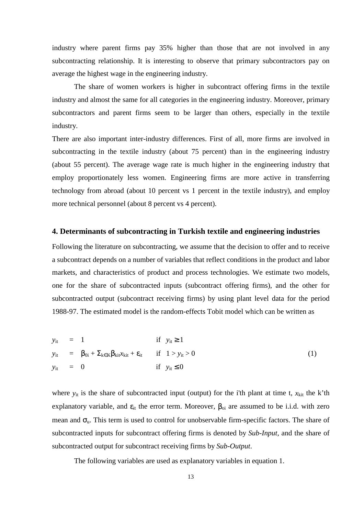industry where parent firms pay 35% higher than those that are not involved in any subcontracting relationship. It is interesting to observe that primary subcontractors pay on average the highest wage in the engineering industry.

The share of women workers is higher in subcontract offering firms in the textile industry and almost the same for all categories in the engineering industry. Moreover, primary subcontractors and parent firms seem to be larger than others, especially in the textile industry.

There are also important inter-industry differences. First of all, more firms are involved in subcontracting in the textile industry (about 75 percent) than in the engineering industry (about 55 percent). The average wage rate is much higher in the engineering industry that employ proportionately less women. Engineering firms are more active in transferring technology from abroad (about 10 percent vs 1 percent in the textile industry), and employ more technical personnel (about 8 percent vs 4 percent).

## **4. Determinants of subcontracting in Turkish textile and engineering industries**

Following the literature on subcontracting, we assume that the decision to offer and to receive a subcontract depends on a number of variables that reflect conditions in the product and labor markets, and characteristics of product and process technologies. We estimate two models, one for the share of subcontracted inputs (subcontract offering firms), and the other for subcontracted output (subcontract receiving firms) by using plant level data for the period 1988-97. The estimated model is the random-effects Tobit model which can be written as

*y*it = 1 if *y*it ≥ 1 *y*it = β0i + Σ<sup>k</sup>∈<sup>K</sup>βkit*x*kit + εit if 1 > *y*it > 0 (1) *y*it = 0 if *y*it ≤ 0

where  $y_{it}$  is the share of subcontracted input (output) for the i'th plant at time t,  $x_{kit}$  the k'th explanatory variable, and  $\varepsilon_{it}$  the error term. Moreover,  $\beta_{oi}$  are assumed to be i.i.d. with zero mean and  $\sigma_{\theta}$ . This term is used to control for unobservable firm-specific factors. The share of subcontracted inputs for subcontract offering firms is denoted by *Sub-Input,* and the share of subcontracted output for subcontract receiving firms by *Sub-Output*.

The following variables are used as explanatory variables in equation 1.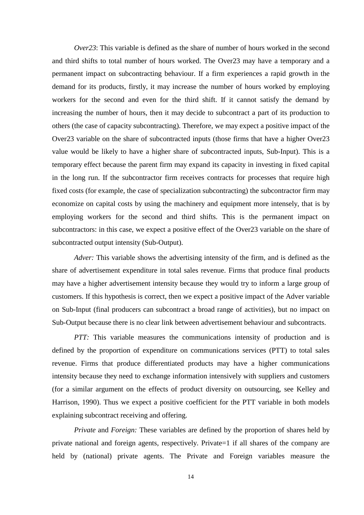*Over23*: This variable is defined as the share of number of hours worked in the second and third shifts to total number of hours worked. The Over23 may have a temporary and a permanent impact on subcontracting behaviour. If a firm experiences a rapid growth in the demand for its products, firstly, it may increase the number of hours worked by employing workers for the second and even for the third shift. If it cannot satisfy the demand by increasing the number of hours, then it may decide to subcontract a part of its production to others (the case of capacity subcontracting). Therefore, we may expect a positive impact of the Over23 variable on the share of subcontracted inputs (those firms that have a higher Over23 value would be likely to have a higher share of subcontracted inputs, Sub-Input). This is a temporary effect because the parent firm may expand its capacity in investing in fixed capital in the long run. If the subcontractor firm receives contracts for processes that require high fixed costs (for example, the case of specialization subcontracting) the subcontractor firm may economize on capital costs by using the machinery and equipment more intensely, that is by employing workers for the second and third shifts. This is the permanent impact on subcontractors: in this case, we expect a positive effect of the Over23 variable on the share of subcontracted output intensity (Sub-Output).

*Adver:* This variable shows the advertising intensity of the firm, and is defined as the share of advertisement expenditure in total sales revenue. Firms that produce final products may have a higher advertisement intensity because they would try to inform a large group of customers. If this hypothesis is correct, then we expect a positive impact of the Adver variable on Sub-Input (final producers can subcontract a broad range of activities), but no impact on Sub-Output because there is no clear link between advertisement behaviour and subcontracts.

*PTT*: This variable measures the communications intensity of production and is defined by the proportion of expenditure on communications services (PTT) to total sales revenue. Firms that produce differentiated products may have a higher communications intensity because they need to exchange information intensively with suppliers and customers (for a similar argument on the effects of product diversity on outsourcing, see Kelley and Harrison, 1990). Thus we expect a positive coefficient for the PTT variable in both models explaining subcontract receiving and offering.

*Private* and *Foreign:* These variables are defined by the proportion of shares held by private national and foreign agents, respectively. Private=1 if all shares of the company are held by (national) private agents. The Private and Foreign variables measure the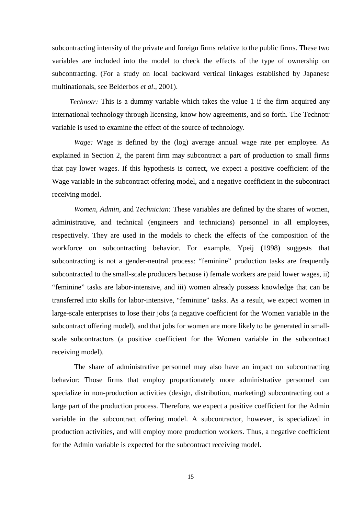subcontracting intensity of the private and foreign firms relative to the public firms. These two variables are included into the model to check the effects of the type of ownership on subcontracting. (For a study on local backward vertical linkages established by Japanese multinationals, see Belderbos *et al*., 2001).

*Technotr:* This is a dummy variable which takes the value 1 if the firm acquired any international technology through licensing, know how agreements, and so forth. The Technotr variable is used to examine the effect of the source of technology.

*Wage:* Wage is defined by the (log) average annual wage rate per employee. As explained in Section 2, the parent firm may subcontract a part of production to small firms that pay lower wages. If this hypothesis is correct, we expect a positive coefficient of the Wage variable in the subcontract offering model, and a negative coefficient in the subcontract receiving model.

*Women*, *Admin*, and *Technician:* These variables are defined by the shares of women, administrative, and technical (engineers and technicians) personnel in all employees, respectively. They are used in the models to check the effects of the composition of the workforce on subcontracting behavior. For example, Ypeij (1998) suggests that subcontracting is not a gender-neutral process: "feminine" production tasks are frequently subcontracted to the small-scale producers because i) female workers are paid lower wages, ii) "feminine" tasks are labor-intensive, and iii) women already possess knowledge that can be transferred into skills for labor-intensive, "feminine" tasks. As a result, we expect women in large-scale enterprises to lose their jobs (a negative coefficient for the Women variable in the subcontract offering model), and that jobs for women are more likely to be generated in smallscale subcontractors (a positive coefficient for the Women variable in the subcontract receiving model).

The share of administrative personnel may also have an impact on subcontracting behavior: Those firms that employ proportionately more administrative personnel can specialize in non-production activities (design, distribution, marketing) subcontracting out a large part of the production process. Therefore, we expect a positive coefficient for the Admin variable in the subcontract offering model. A subcontractor, however, is specialized in production activities, and will employ more production workers. Thus, a negative coefficient for the Admin variable is expected for the subcontract receiving model.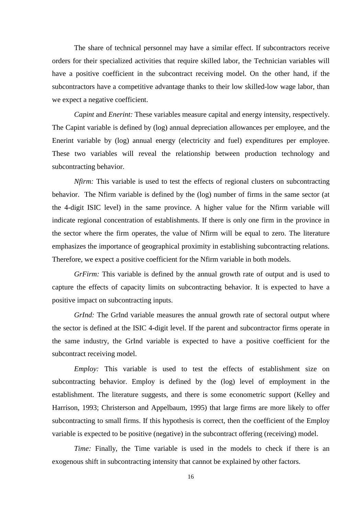The share of technical personnel may have a similar effect. If subcontractors receive orders for their specialized activities that require skilled labor, the Technician variables will have a positive coefficient in the subcontract receiving model. On the other hand, if the subcontractors have a competitive advantage thanks to their low skilled-low wage labor, than we expect a negative coefficient.

*Capint* and *Enerint:* These variables measure capital and energy intensity, respectively. The Capint variable is defined by (log) annual depreciation allowances per employee, and the Enerint variable by (log) annual energy (electricity and fuel) expenditures per employee. These two variables will reveal the relationship between production technology and subcontracting behavior.

*Nfirm:* This variable is used to test the effects of regional clusters on subcontracting behavior. The Nfirm variable is defined by the (log) number of firms in the same sector (at the 4-digit ISIC level) in the same province. A higher value for the Nfirm variable will indicate regional concentration of establishments. If there is only one firm in the province in the sector where the firm operates, the value of Nfirm will be equal to zero. The literature emphasizes the importance of geographical proximity in establishing subcontracting relations. Therefore, we expect a positive coefficient for the Nfirm variable in both models.

*GrFirm:* This variable is defined by the annual growth rate of output and is used to capture the effects of capacity limits on subcontracting behavior. It is expected to have a positive impact on subcontracting inputs.

*GrInd:* The GrInd variable measures the annual growth rate of sectoral output where the sector is defined at the ISIC 4-digit level. If the parent and subcontractor firms operate in the same industry, the GrInd variable is expected to have a positive coefficient for the subcontract receiving model.

*Employ:* This variable is used to test the effects of establishment size on subcontracting behavior. Employ is defined by the (log) level of employment in the establishment. The literature suggests, and there is some econometric support (Kelley and Harrison, 1993; Christerson and Appelbaum, 1995) that large firms are more likely to offer subcontracting to small firms. If this hypothesis is correct, then the coefficient of the Employ variable is expected to be positive (negative) in the subcontract offering (receiving) model.

*Time:* Finally, the Time variable is used in the models to check if there is an exogenous shift in subcontracting intensity that cannot be explained by other factors.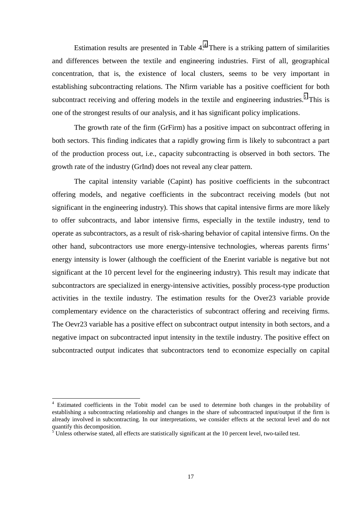Estimation results are presented in Table  $4<sup>4</sup>$ . There is a striking pattern of similarities and differences between the textile and engineering industries. First of all, geographical concentration, that is, the existence of local clusters, seems to be very important in establishing subcontracting relations. The Nfirm variable has a positive coefficient for both subcontract receiving and offering models in the textile and engineering industries.<sup>5</sup> This is one of the strongest results of our analysis, and it has significant policy implications.

The growth rate of the firm (GrFirm) has a positive impact on subcontract offering in both sectors. This finding indicates that a rapidly growing firm is likely to subcontract a part of the production process out, i.e., capacity subcontracting is observed in both sectors. The growth rate of the industry (GrInd) does not reveal any clear pattern.

The capital intensity variable (Capint) has positive coefficients in the subcontract offering models, and negative coefficients in the subcontract receiving models (but not significant in the engineering industry). This shows that capital intensive firms are more likely to offer subcontracts, and labor intensive firms, especially in the textile industry, tend to operate as subcontractors, as a result of risk-sharing behavior of capital intensive firms. On the other hand, subcontractors use more energy-intensive technologies, whereas parents firms' energy intensity is lower (although the coefficient of the Enerint variable is negative but not significant at the 10 percent level for the engineering industry). This result may indicate that subcontractors are specialized in energy-intensive activities, possibly process-type production activities in the textile industry. The estimation results for the Over23 variable provide complementary evidence on the characteristics of subcontract offering and receiving firms. The Oevr23 variable has a positive effect on subcontract output intensity in both sectors, and a negative impact on subcontracted input intensity in the textile industry. The positive effect on subcontracted output indicates that subcontractors tend to economize especially on capital

 $\overline{a}$ 

<sup>&</sup>lt;sup>4</sup> Estimated coefficients in the Tobit model can be used to determine both changes in the probability of establishing a subcontracting relationship and changes in the share of subcontracted input/output if the firm is already involved in subcontracting. In our interpretations, we consider effects at the sectoral level and do not quantify this decomposition.

 $5$  Unless otherwise stated, all effects are statistically significant at the 10 percent level, two-tailed test.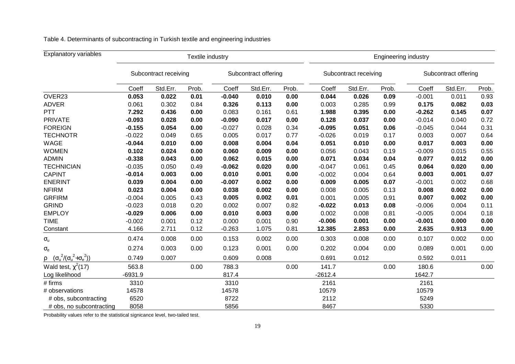| <b>Explanatory variables</b>                        | Textile industry      |          |                      |          |                       |       | <b>Engineering industry</b> |                      |       |          |          |       |
|-----------------------------------------------------|-----------------------|----------|----------------------|----------|-----------------------|-------|-----------------------------|----------------------|-------|----------|----------|-------|
|                                                     | Subcontract receiving |          | Subcontract offering |          | Subcontract receiving |       |                             | Subcontract offering |       |          |          |       |
|                                                     | Coeff                 | Std.Err. | Prob.                | Coeff    | Std.Err.              | Prob. | Coeff                       | Std.Err.             | Prob. | Coeff    | Std.Err. | Prob. |
| OVER23                                              | 0.053                 | 0.022    | 0.01                 | $-0.040$ | 0.010                 | 0.00  | 0.044                       | 0.026                | 0.09  | $-0.001$ | 0.011    | 0.93  |
| <b>ADVER</b>                                        | 0.061                 | 0.302    | 0.84                 | 0.326    | 0.113                 | 0.00  | 0.003                       | 0.285                | 0.99  | 0.175    | 0.082    | 0.03  |
| <b>PTT</b>                                          | 7.292                 | 0.436    | 0.00                 | 0.083    | 0.161                 | 0.61  | 1.988                       | 0.395                | 0.00  | $-0.262$ | 0.145    | 0.07  |
| <b>PRIVATE</b>                                      | $-0.093$              | 0.028    | 0.00                 | $-0.090$ | 0.017                 | 0.00  | 0.128                       | 0.037                | 0.00  | $-0.014$ | 0.040    | 0.72  |
| <b>FOREIGN</b>                                      | $-0.155$              | 0.054    | 0.00                 | $-0.027$ | 0.028                 | 0.34  | $-0.095$                    | 0.051                | 0.06  | $-0.045$ | 0.044    | 0.31  |
| <b>TECHNOTR</b>                                     | $-0.022$              | 0.049    | 0.65                 | 0.005    | 0.017                 | 0.77  | $-0.026$                    | 0.019                | 0.17  | 0.003    | 0.007    | 0.64  |
| WAGE                                                | $-0.044$              | 0.010    | 0.00                 | 0.008    | 0.004                 | 0.04  | 0.051                       | 0.010                | 0.00  | 0.017    | 0.003    | 0.00  |
| <b>WOMEN</b>                                        | 0.102                 | 0.024    | 0.00                 | 0.060    | 0.009                 | 0.00  | 0.056                       | 0.043                | 0.19  | $-0.009$ | 0.015    | 0.55  |
| <b>ADMIN</b>                                        | $-0.338$              | 0.043    | 0.00                 | 0.062    | 0.015                 | 0.00  | 0.071                       | 0.034                | 0.04  | 0.077    | 0.012    | 0.00  |
| <b>TECHNICIAN</b>                                   | $-0.035$              | 0.050    | 0.49                 | $-0.062$ | 0.020                 | 0.00  | $-0.047$                    | 0.061                | 0.45  | 0.064    | 0.020    | 0.00  |
| <b>CAPINT</b>                                       | $-0.014$              | 0.003    | 0.00                 | 0.010    | 0.001                 | 0.00  | $-0.002$                    | 0.004                | 0.64  | 0.003    | 0.001    | 0.07  |
| <b>ENERINT</b>                                      | 0.039                 | 0.004    | 0.00                 | $-0.007$ | 0.002                 | 0.00  | 0.009                       | 0.005                | 0.07  | $-0.001$ | 0.002    | 0.68  |
| <b>NFIRM</b>                                        | 0.023                 | 0.004    | 0.00                 | 0.038    | 0.002                 | 0.00  | 0.008                       | 0.005                | 0.13  | 0.008    | 0.002    | 0.00  |
| <b>GRFIRM</b>                                       | $-0.004$              | 0.005    | 0.43                 | 0.005    | 0.002                 | 0.01  | 0.001                       | 0.005                | 0.91  | 0.007    | 0.002    | 0.00  |
| <b>GRIND</b>                                        | $-0.023$              | 0.018    | 0.20                 | 0.002    | 0.007                 | 0.82  | $-0.022$                    | 0.013                | 0.08  | $-0.006$ | 0.004    | 0.11  |
| <b>EMPLOY</b>                                       | $-0.029$              | 0.006    | 0.00                 | 0.010    | 0.003                 | 0.00  | 0.002                       | 0.008                | 0.81  | $-0.005$ | 0.004    | 0.18  |
| <b>TIME</b>                                         | $-0.002$              | 0.001    | 0.12                 | 0.000    | 0.001                 | 0.90  | $-0.006$                    | 0.001                | 0.00  | $-0.001$ | 0.000    | 0.00  |
| Constant                                            | 4.166                 | 2.711    | 0.12                 | $-0.263$ | 1.075                 | 0.81  | 12.385                      | 2.853                | 0.00  | 2.635    | 0.913    | 0.00  |
| $\sigma_{\text{u}}$                                 | 0.474                 | 0.008    | 0.00                 | 0.153    | 0.002                 | 0.00  | 0.303                       | 0.008                | 0.00  | 0.107    | 0.002    | 0.00  |
| $\sigma_{\rm e}$                                    | 0.274                 | 0.003    | 0.00                 | 0.123    | 0.001                 | 0.00  | 0.202                       | 0.004                | 0.00  | 0.089    | 0.001    | 0.00  |
| $\rho \quad (\sigma_u^2/(\sigma_u^2 + \sigma_e^2))$ | 0.749                 | 0.007    |                      | 0.609    | 0.008                 |       | 0.691                       | 0.012                |       | 0.592    | 0.011    |       |
| Wald test, $\chi^2(17)$                             | 563.8                 |          | 0.00                 | 788.3    |                       | 0.00  | 141.7                       |                      | 0.00  | 180.6    |          | 0.00  |
| Log likelihood                                      | $-6931.9$             |          |                      | 817.4    |                       |       | $-2612.4$                   |                      |       | 1642.7   |          |       |
| # firms                                             | 3310                  |          |                      | 3310     |                       |       | 2161                        |                      |       | 2161     |          |       |
| # observations                                      | 14578                 |          |                      | 14578    |                       |       | 10579                       |                      |       | 10579    |          |       |
| # obs, subcontracting                               | 6520                  |          |                      | 8722     |                       |       | 2112                        |                      |       | 5249     |          |       |
| # obs, no subcontracting                            | 8058                  |          |                      | 5856     |                       |       | 8467                        |                      |       | 5330     |          |       |

Table 4. Determinants of subcontracting in Turkish textile and engineering industries

Probability values refer to the statistical signicance level, two-tailed test.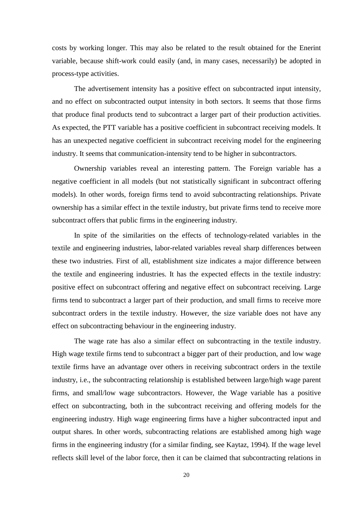costs by working longer. This may also be related to the result obtained for the Enerint variable, because shift-work could easily (and, in many cases, necessarily) be adopted in process-type activities.

The advertisement intensity has a positive effect on subcontracted input intensity, and no effect on subcontracted output intensity in both sectors. It seems that those firms that produce final products tend to subcontract a larger part of their production activities. As expected, the PTT variable has a positive coefficient in subcontract receiving models. It has an unexpected negative coefficient in subcontract receiving model for the engineering industry. It seems that communication-intensity tend to be higher in subcontractors.

Ownership variables reveal an interesting pattern. The Foreign variable has a negative coefficient in all models (but not statistically significant in subcontract offering models). In other words, foreign firms tend to avoid subcontracting relationships. Private ownership has a similar effect in the textile industry, but private firms tend to receive more subcontract offers that public firms in the engineering industry.

In spite of the similarities on the effects of technology-related variables in the textile and engineering industries, labor-related variables reveal sharp differences between these two industries. First of all, establishment size indicates a major difference between the textile and engineering industries. It has the expected effects in the textile industry: positive effect on subcontract offering and negative effect on subcontract receiving. Large firms tend to subcontract a larger part of their production, and small firms to receive more subcontract orders in the textile industry. However, the size variable does not have any effect on subcontracting behaviour in the engineering industry.

The wage rate has also a similar effect on subcontracting in the textile industry. High wage textile firms tend to subcontract a bigger part of their production, and low wage textile firms have an advantage over others in receiving subcontract orders in the textile industry, i.e., the subcontracting relationship is established between large/high wage parent firms, and small/low wage subcontractors. However, the Wage variable has a positive effect on subcontracting, both in the subcontract receiving and offering models for the engineering industry. High wage engineering firms have a higher subcontracted input and output shares. In other words, subcontracting relations are established among high wage firms in the engineering industry (for a similar finding, see Kaytaz, 1994). If the wage level reflects skill level of the labor force, then it can be claimed that subcontracting relations in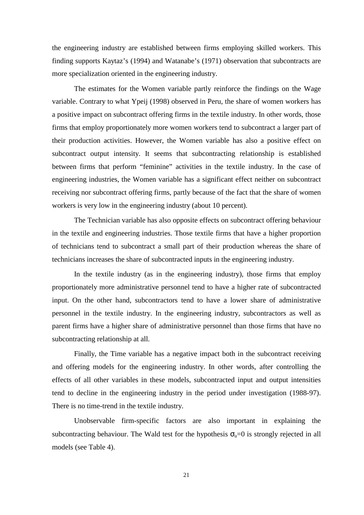the engineering industry are established between firms employing skilled workers. This finding supports Kaytaz's (1994) and Watanabe's (1971) observation that subcontracts are more specialization oriented in the engineering industry.

The estimates for the Women variable partly reinforce the findings on the Wage variable. Contrary to what Ypeij (1998) observed in Peru, the share of women workers has a positive impact on subcontract offering firms in the textile industry. In other words, those firms that employ proportionately more women workers tend to subcontract a larger part of their production activities. However, the Women variable has also a positive effect on subcontract output intensity. It seems that subcontracting relationship is established between firms that perform "feminine" activities in the textile industry. In the case of engineering industries, the Women variable has a significant effect neither on subcontract receiving nor subcontract offering firms, partly because of the fact that the share of women workers is very low in the engineering industry (about 10 percent).

The Technician variable has also opposite effects on subcontract offering behaviour in the textile and engineering industries. Those textile firms that have a higher proportion of technicians tend to subcontract a small part of their production whereas the share of technicians increases the share of subcontracted inputs in the engineering industry.

In the textile industry (as in the engineering industry), those firms that employ proportionately more administrative personnel tend to have a higher rate of subcontracted input. On the other hand, subcontractors tend to have a lower share of administrative personnel in the textile industry. In the engineering industry, subcontractors as well as parent firms have a higher share of administrative personnel than those firms that have no subcontracting relationship at all.

Finally, the Time variable has a negative impact both in the subcontract receiving and offering models for the engineering industry. In other words, after controlling the effects of all other variables in these models, subcontracted input and output intensities tend to decline in the engineering industry in the period under investigation (1988-97). There is no time-trend in the textile industry.

Unobservable firm-specific factors are also important in explaining the subcontracting behaviour. The Wald test for the hypothesis  $\sigma_u=0$  is strongly rejected in all models (see Table 4).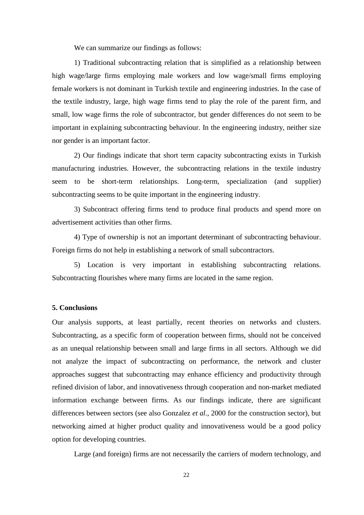We can summarize our findings as follows:

1) Traditional subcontracting relation that is simplified as a relationship between high wage/large firms employing male workers and low wage/small firms employing female workers is not dominant in Turkish textile and engineering industries. In the case of the textile industry, large, high wage firms tend to play the role of the parent firm, and small, low wage firms the role of subcontractor, but gender differences do not seem to be important in explaining subcontracting behaviour. In the engineering industry, neither size nor gender is an important factor.

2) Our findings indicate that short term capacity subcontracting exists in Turkish manufacturing industries. However, the subcontracting relations in the textile industry seem to be short-term relationships. Long-term, specialization (and supplier) subcontracting seems to be quite important in the engineering industry.

3) Subcontract offering firms tend to produce final products and spend more on advertisement activities than other firms.

4) Type of ownership is not an important determinant of subcontracting behaviour. Foreign firms do not help in establishing a network of small subcontractors.

5) Location is very important in establishing subcontracting relations. Subcontracting flourishes where many firms are located in the same region.

#### **5. Conclusions**

Our analysis supports, at least partially, recent theories on networks and clusters. Subcontracting, as a specific form of cooperation between firms, should not be conceived as an unequal relationship between small and large firms in all sectors. Although we did not analyze the impact of subcontracting on performance, the network and cluster approaches suggest that subcontracting may enhance efficiency and productivity through refined division of labor, and innovativeness through cooperation and non-market mediated information exchange between firms. As our findings indicate, there are significant differences between sectors (see also Gonzalez *et al*., 2000 for the construction sector), but networking aimed at higher product quality and innovativeness would be a good policy option for developing countries.

Large (and foreign) firms are not necessarily the carriers of modern technology, and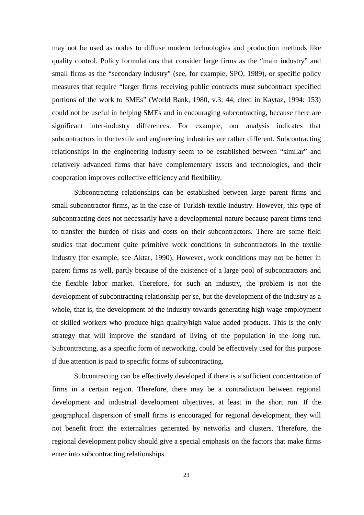may not be used as nodes to diffuse modern technologies and production methods like quality control. Policy formulations that consider large firms as the "main industry" and small firms as the "secondary industry" (see, for example, SPO, 1989), or specific policy measures that require "larger firms receiving public contracts must subcontract specified portions of the work to SMEs" (World Bank, 1980, v.3: 44, cited in Kaytaz, 1994: 153) could not be useful in helping SMEs and in encouraging subcontracting, because there are significant inter-industry differences. For example, our analysis indicates that subcontractors in the textile and engineering industries are rather different. Subcontracting relationships in the engineering industry seem to be established between "similar" and relatively advanced firms that have complementary assets and technologies, and their cooperation improves collective efficiency and flexibility.

Subcontracting relationships can be established between large parent firms and small subcontractor firms, as in the case of Turkish textile industry. However, this type of subcontracting does not necessarily have a developmental nature because parent firms tend to transfer the burden of risks and costs on their subcontractors. There are some field studies that document quite primitive work conditions in subcontractors in the textile industry (for example, see Aktar, 1990). However, work conditions may not be better in parent firms as well, partly because of the existence of a large pool of subcontractors and the flexible labor market. Therefore, for such an industry, the problem is not the development of subcontracting relationship per se, but the development of the industry as a whole, that is, the development of the industry towards generating high wage employment of skilled workers who produce high quality/high value added products. This is the only strategy that will improve the standard of living of the population in the long run. Subcontracting, as a specific form of networking, could be effectively used for this purpose if due attention is paid to specific forms of subcontracting.

Subcontracting can be effectively developed if there is a sufficient concentration of firms in a certain region. Therefore, there may be a contradiction between regional development and industrial development objectives, at least in the short run. If the geographical dispersion of small firms is encouraged for regional development, they will not benefit from the externalities generated by networks and clusters. Therefore, the regional development policy should give a special emphasis on the factors that make firms enter into subcontracting relationships.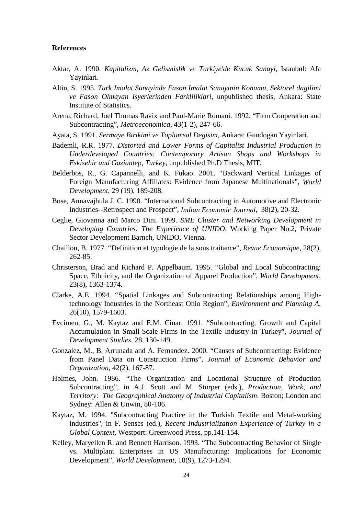#### **References**

- Aktar, A. 1990. *Kapitalizm, Az Gelismislik ve Turkiye'de Kucuk Sanayi*, Istanbul: Afa Yayinlari.
- Altin, S. 1995. *Turk Imalat Sanayinde Fason Imalat Sanayinin Konumu, Sektorel dagilimi ve Fason Olmayan Isyerlerinden Farkliliklari*, unpublished thesis, Ankara: State Institute of Statistics.
- Arena, Richard, Joel Thomas Ravix and Paul-Marie Romani. 1992. "Firm Cooperation and Subcontracting", *Metroeconomica*, 43(1-2), 247-66.
- Ayata, S. 1991. *Sermaye Birikimi ve Toplumsal Degisim*, Ankara: Gundogan Yayinlari.
- Bademli, R.R. 1977. *Distorted and Lower Forms of Capitalist Industrial Production in Underdeveloped Countries: Contemporary Artisan Shops and Workshops in Eskisehir and Gaziantep, Turkey*, unpublished Ph.D Thesis, MIT.
- Belderbos, R., G. Capannelli, and K. Fukao. 2001. "Backward Vertical Linkages of Foreign Manufacturing Affiliates: Evidence from Japanese Multinationals", *World Development*, 29 (19), 189-208.
- Bose, Annavajhula J. C. 1990. "International Subcontracting in Automotive and Electronic Industries--Retrospect and Prospect", *Indian Economic Journal*, 38(2), 20-32.
- Ceglie, Giovanna and Marco Dini. 1999. *SME Cluster and Networking Development in Developing Countries: The Experience of UNIDO*, Working Paper No.2, Private Sector Development Barnch, UNIDO, Vienna.
- Chaillou, B. 1977. "Definition et typologie de la sous traitance", *Revue Economique*, 28(2), 262-85.
- Christerson, Brad and Richard P. Appelbaum. 1995. "Global and Local Subcontracting: Space, Ethnicity, and the Organization of Apparel Production", *World Development*, 23(8), 1363-1374.
- Clarke, A.E. 1994. "Spatial Linkages and Subcontracting Relationships among Hightechnology Industries in the Northeast Ohio Region", *Environment and Planning A*, 26(10), 1579-1603.
- Evcimen, G., M. Kaytaz and E.M. Cinar. 1991. "Subcontracting, Growth and Capital Accumulation in Small-Scale Firms in the Textile Industry in Turkey", *Journal of Development Studies*, 28, 130-149.
- Gonzalez, M., B. Arrunada and A. Fernandez. 2000*.* "Causes of Subcontracting: Evidence from Panel Data on Construction Firms", *Journal of Economic Behavior and Organization*, 42(2), 167-87.
- Holmes, John. 1986. "The Organization and Locational Structure of Production Subcontracting", in A.J. Scott and M. Storper (eds.), *Production, Work, and Territory: The Geographical Anatomy of Industrial Capitalism*. Boston; London and Sydney: Allen & Unwin, 80-106.
- Kaytaz, M. 1994. "Subcontracting Practice in the Turkish Textile and Metal-working Industries", in F. Senses (ed.), *Recent Industrialization Experience of Turkey in a Global Context*, Westport: Greenwood Press, pp.141-154.
- Kelley, Maryellen R. and Bennett Harrison. 1993. "The Subcontracting Behavior of Single vs. Multiplant Enterprises in US Manufacturing: Implications for Economic Development", *World Development*, 18(9), 1273-1294.